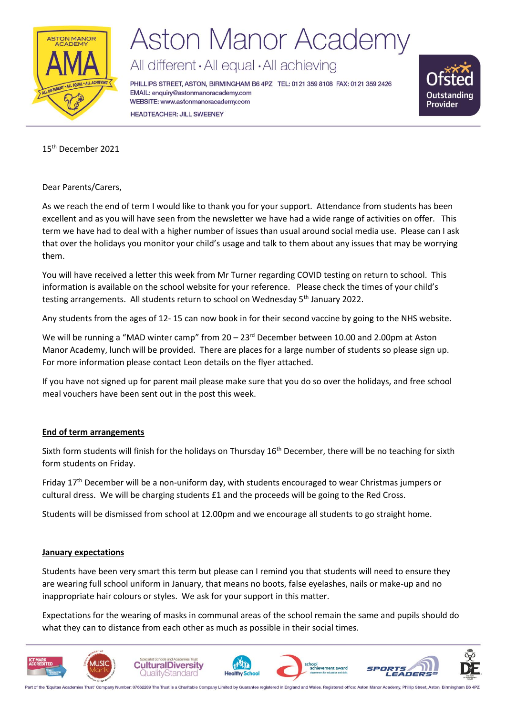

## **Aston Manor Academy**

All different · All equal · All achieving

PHILLIPS STREET, ASTON, BIRMINGHAM B6 4PZ TEL: 0121 359 8108 FAX: 0121 359 2426 EMAIL: enquiry@astonmanoracademy.com WEBSITE: www.astonmanoracademy.com **HEADTEACHER: JILL SWEENEY** 



15th December 2021

Dear Parents/Carers,

As we reach the end of term I would like to thank you for your support. Attendance from students has been excellent and as you will have seen from the newsletter we have had a wide range of activities on offer. This term we have had to deal with a higher number of issues than usual around social media use. Please can I ask that over the holidays you monitor your child's usage and talk to them about any issues that may be worrying them.

You will have received a letter this week from Mr Turner regarding COVID testing on return to school. This information is available on the school website for your reference. Please check the times of your child's testing arrangements. All students return to school on Wednesday 5<sup>th</sup> January 2022.

Any students from the ages of 12- 15 can now book in for their second vaccine by going to the NHS website.

We will be running a "MAD winter camp" from 20 – 23<sup>rd</sup> December between 10.00 and 2.00pm at Aston Manor Academy, lunch will be provided. There are places for a large number of students so please sign up. For more information please contact Leon details on the flyer attached.

If you have not signed up for parent mail please make sure that you do so over the holidays, and free school meal vouchers have been sent out in the post this week.

## **End of term arrangements**

Sixth form students will finish for the holidays on Thursday 16<sup>th</sup> December, there will be no teaching for sixth form students on Friday.

Friday 17<sup>th</sup> December will be a non-uniform day, with students encouraged to wear Christmas jumpers or cultural dress. We will be charging students £1 and the proceeds will be going to the Red Cross.

Students will be dismissed from school at 12.00pm and we encourage all students to go straight home.

#### **January expectations**

Students have been very smart this term but please can I remind you that students will need to ensure they are wearing full school uniform in January, that means no boots, false eyelashes, nails or make-up and no inappropriate hair colours or styles. We ask for your support in this matter.

Expectations for the wearing of masks in communal areas of the school remain the same and pupils should do what they can to distance from each other as much as possible in their social times.



art of the 'Equitas Academies Trust' Company Number: 07662289 The Trust is a Charitable Company Limited by Guarantee registered in England and Wales. Registered office: Aston Manor Acad my, Phillip Street, Aston, Birming